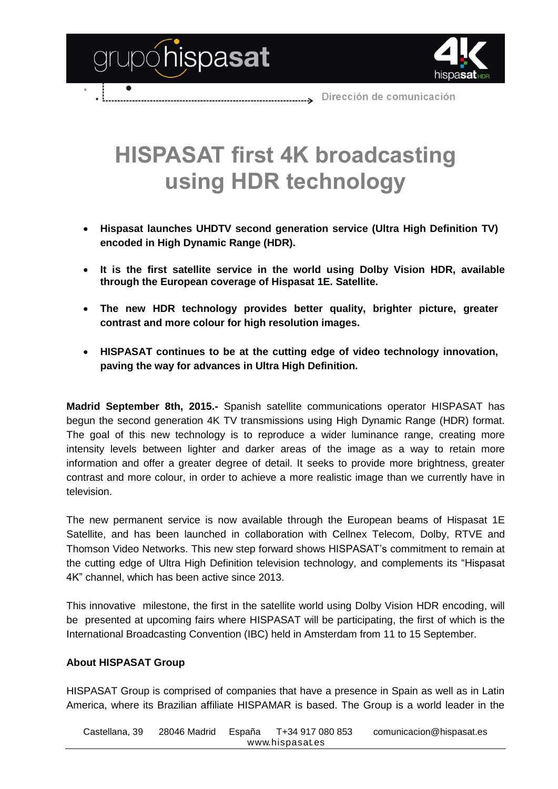



## **HISPASAT first 4K broadcasting using HDR technology**

- **Hispasat launches UHDTV second generation service (Ultra High Definition TV) encoded in High Dynamic Range (HDR).**
- **It is the first satellite service in the world using Dolby Vision HDR, available through the European coverage of Hispasat 1E. Satellite.**
- **The new HDR technology provides better quality, brighter picture, greater contrast and more colour for high resolution images.**
- **HISPASAT continues to be at the cutting edge of video technology innovation, paving the way for advances in Ultra High Definition.**

**Madrid September 8th, 2015.-** Spanish satellite communications operator HISPASAT has begun the second generation 4K TV transmissions using High Dynamic Range (HDR) format. The goal of this new technology is to reproduce a wider luminance range, creating more intensity levels between lighter and darker areas of the image as a way to retain more information and offer a greater degree of detail. It seeks to provide more brightness, greater contrast and more colour, in order to achieve a more realistic image than we currently have in television.

The new permanent service is now available through the European beams of Hispasat 1E Satellite, and has been launched in collaboration with Cellnex Telecom, Dolby, RTVE and Thomson Video Networks. This new step forward shows HISPASAT's commitment to remain at the cutting edge of Ultra High Definition television technology, and complements its "Hispasat 4K" channel, which has been active since 2013.

This innovative milestone, the first in the satellite world using Dolby Vision HDR encoding, will be presented at upcoming fairs where HISPASAT will be participating, the first of which is the International Broadcasting Convention (IBC) held in Amsterdam from 11 to 15 September.

## **About HISPASAT Group**

HISPASAT Group is comprised of companies that have a presence in Spain as well as in Latin America, where its Brazilian affiliate HISPAMAR is based. The Group is a world leader in the